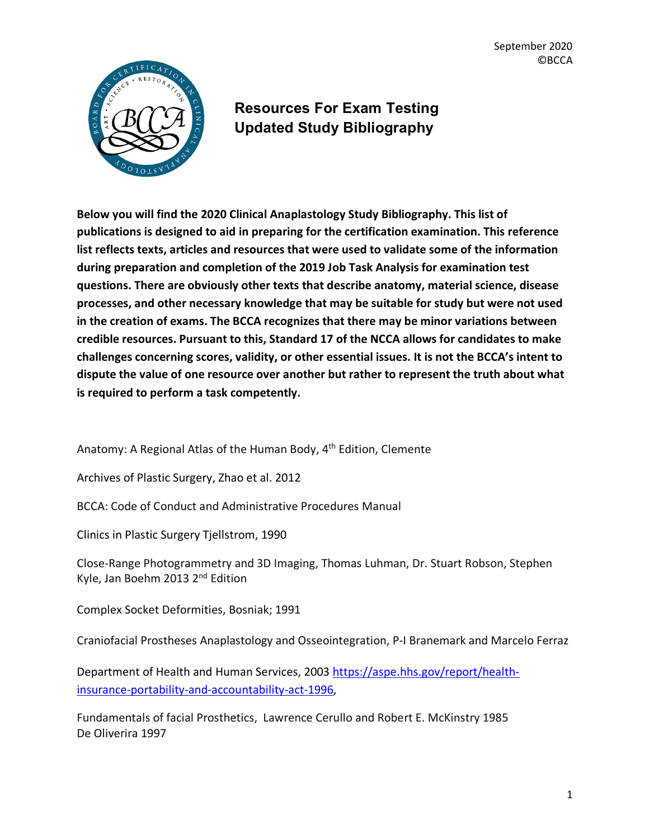September 2020 ©BCCA



## **Resources For Exam Testing Updated Study Bibliography**

**Below you will find the 2020 Clinical Anaplastology Study Bibliography. This list of publications is designed to aid in preparing for the certification examination. This reference list reflects texts, articles and resources that were used to validate some of the information during preparation and completion of the 2019 Job Task Analysis for examination test questions. There are obviously other texts that describe anatomy, material science, disease processes, and other necessary knowledge that may be suitable for study but were not used in the creation of exams. The BCCA recognizes that there may be minor variations between credible resources. Pursuant to this, Standard 17 of the NCCA allows for candidates to make challenges concerning scores, validity, or other essential issues. It is not the BCCA's intent to dispute the value of one resource over another but rather to represent the truth about what is required to perform a task competently.** 

Anatomy: A Regional Atlas of the Human Body, 4<sup>th</sup> Edition, Clemente

Archives of Plastic Surgery, Zhao et al. 2012

BCCA: Code of Conduct and Administrative Procedures Manual

Clinics in Plastic Surgery Tjellstrom, 1990

Close-Range Photogrammetry and 3D Imaging, Thomas Luhman, Dr. Stuart Robson, Stephen Kyle, Jan Boehm 2013 2nd Edition

Complex Socket Deformities, Bosniak; 1991

Craniofacial Prostheses Anaplastology and Osseointegration, P-I Branemark and Marcelo Ferraz

Department of Health and Human Services, 2003 https://aspe.hhs.gov/report/healthinsurance-portability-and-accountability-act-1996,

Fundamentals of facial Prosthetics, Lawrence Cerullo and Robert E. McKinstry 1985 De Oliverira 1997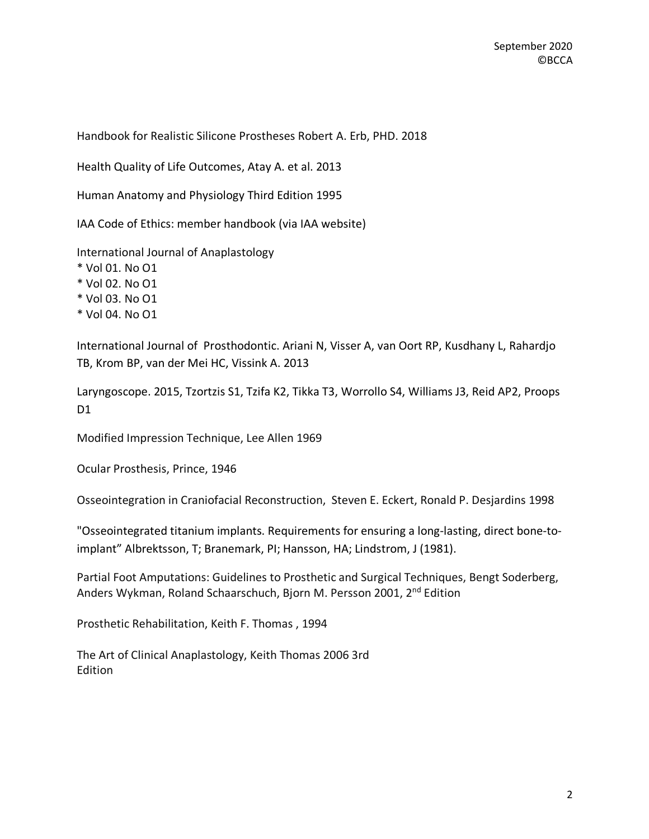Handbook for Realistic Silicone Prostheses Robert A. Erb, PHD. 2018

Health Quality of Life Outcomes, Atay A. et al. 2013

Human Anatomy and Physiology Third Edition 1995

IAA Code of Ethics: member handbook (via IAA website)

International Journal of Anaplastology

\* Vol 01. No O1

\* Vol 02. No O1

\* Vol 03. No O1

\* Vol 04. No O1

International Journal of Prosthodontic. Ariani N, Visser A, van Oort RP, Kusdhany L, Rahardjo TB, Krom BP, van der Mei HC, Vissink A. 2013

Laryngoscope. 2015, Tzortzis S1, Tzifa K2, Tikka T3, Worrollo S4, Williams J3, Reid AP2, Proops D1

Modified Impression Technique, Lee Allen 1969

Ocular Prosthesis, Prince, 1946

Osseointegration in Craniofacial Reconstruction, Steven E. Eckert, Ronald P. Desjardins 1998

"Osseointegrated titanium implants. Requirements for ensuring a long-lasting, direct bone-toimplant" Albrektsson, T; Branemark, PI; Hansson, HA; Lindstrom, J (1981).

Partial Foot Amputations: Guidelines to Prosthetic and Surgical Techniques, Bengt Soderberg, Anders Wykman, Roland Schaarschuch, Bjorn M. Persson 2001, 2nd Edition

Prosthetic Rehabilitation, Keith F. Thomas , 1994

The Art of Clinical Anaplastology, Keith Thomas 2006 3rd Edition